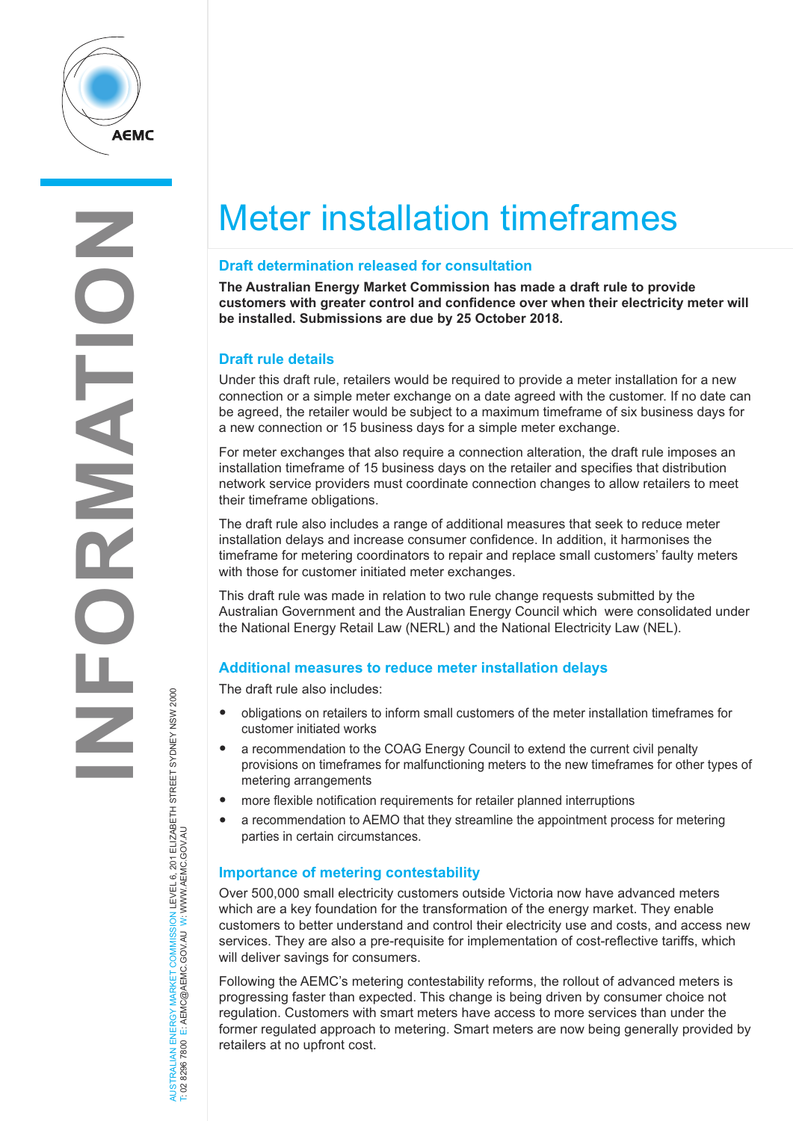

**NFORM AT I ON**

# Meter installation timeframes

# **Draft determination released for consultation**

**The Australian Energy Market Commission has made a draft rule to provide customers with greater control and confidence over when their electricity meter will be installed. Submissions are due by 25 October 2018.**

# **Draft rule details**

Under this draft rule, retailers would be required to provide a meter installation for a new connection or a simple meter exchange on a date agreed with the customer. If no date can be agreed, the retailer would be subject to a maximum timeframe of six business days for a new connection or 15 business days for a simple meter exchange.

For meter exchanges that also require a connection alteration, the draft rule imposes an installation timeframe of 15 business days on the retailer and specifies that distribution network service providers must coordinate connection changes to allow retailers to meet their timeframe obligations.

The draft rule also includes a range of additional measures that seek to reduce meter installation delays and increase consumer confidence. In addition, it harmonises the timeframe for metering coordinators to repair and replace small customers' faulty meters with those for customer initiated meter exchanges.

This draft rule was made in relation to two rule change requests submitted by the Australian Government and the Australian Energy Council which were consolidated under the National Energy Retail Law (NERL) and the National Electricity Law (NEL).

# **Additional measures to reduce meter installation delays**

The draft rule also includes:

- obligations on retailers to inform small customers of the meter installation timeframes for customer initiated works
- <sup>a</sup> recommendation to the COAG Energy Council to extend the current civil penalty provisions on timeframes for malfunctioning meters to the new timeframes for other types of metering arrangements
- more flexible notification requirements for retailer planned interruptions
- a recommendation to AEMO that they streamline the appointment process for metering parties in certain circumstances.

# **Importance of metering contestability**

Over 500,000 small electricity customers outside Victoria now have advanced meters which are a key foundation for the transformation of the energy market. They enable customers to better understand and control their electricity use and costs, and access new services. They are also a pre-requisite for implementation of cost-reflective tariffs, which will deliver savings for consumers.

Following the AEMC's metering contestability reforms, the rollout of advanced meters is progressing faster than expected. This change is being driven by consumer choice not regulation. Customers with smart meters have access to more services than under the former regulated approach to metering. Smart meters are now being generally provided by retailers at no upfront cost.

AUSTRALIAN ENERGY MARKET COMMISSION LEVEL 6, 201 ELIZABETH STREET SYDNEY NSW 2000 W.AEMC.GOV.AU W T: 02 8296 7800 E: AEMC@AEMC.GOV.AU W: W AUSTRALIAN ENERGY MARKET<br>T: 02 8296 7800 E: AEMC@AEM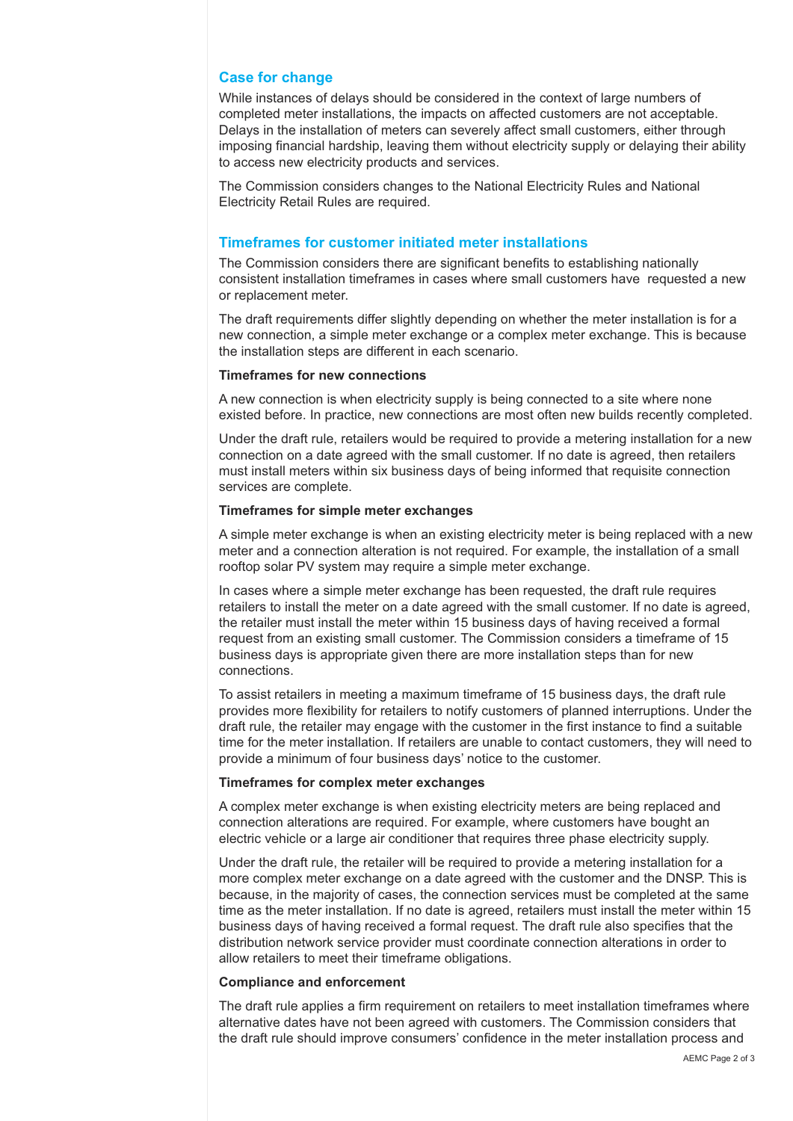## **Case for change**

While instances of delays should be considered in the context of large numbers of completed meter installations, the impacts on affected customers are not acceptable. Delays in the installation of meters can severely affect small customers, either through imposing financial hardship, leaving them without electricity supply or delaying their ability to access new electricity products and services.

The Commission considers changes to the National Electricity Rules and National Electricity Retail Rules are required.

## **Timeframes for customer initiated meter installations**

The Commission considers there are significant benefits to establishing nationally consistent installation timeframes in cases where small customers have requested a new or replacement meter.

The draft requirements differ slightly depending on whether the meter installation is for a new connection, a simple meter exchange or a complex meter exchange. This is because the installation steps are different in each scenario.

#### **Timeframes for new connections**

A new connection is when electricity supply is being connected to a site where none existed before. In practice, new connections are most often new builds recently completed.

Under the draft rule, retailers would be required to provide a metering installation for a new connection on a date agreed with the small customer. If no date is agreed, then retailers must install meters within six business days of being informed that requisite connection services are complete.

#### **Timeframes for simple meter exchanges**

A simple meter exchange is when an existing electricity meter is being replaced with a new meter and a connection alteration is not required. For example, the installation of a small rooftop solar PV system may require a simple meter exchange.

In cases where a simple meter exchange has been requested, the draft rule requires retailers to install the meter on a date agreed with the small customer. If no date is agreed, the retailer must install the meter within 15 business days of having received a formal request from an existing small customer. The Commission considers a timeframe of 15 business days is appropriate given there are more installation steps than for new connections.

To assist retailers in meeting a maximum timeframe of 15 business days, the draft rule provides more flexibility for retailers to notify customers of planned interruptions. Under the draft rule, the retailer may engage with the customer in the first instance to find a suitable time for the meter installation. If retailers are unable to contact customers, they will need to provide a minimum of four business days' notice to the customer.

#### **Timeframes for complex meter exchanges**

A complex meter exchange is when existing electricity meters are being replaced and connection alterations are required. For example, where customers have bought an electric vehicle or a large air conditioner that requires three phase electricity supply.

Under the draft rule, the retailer will be required to provide a metering installation for a more complex meter exchange on a date agreed with the customer and the DNSP. This is because, in the majority of cases, the connection services must be completed at the same time as the meter installation. If no date is agreed, retailers must install the meter within 15 business days of having received a formal request. The draft rule also specifies that the distribution network service provider must coordinate connection alterations in order to allow retailers to meet their timeframe obligations.

#### **Compliance and enforcement**

The draft rule applies a firm requirement on retailers to meet installation timeframes where alternative dates have not been agreed with customers. The Commission considers that the draft rule should improve consumers' confidence in the meter installation process and